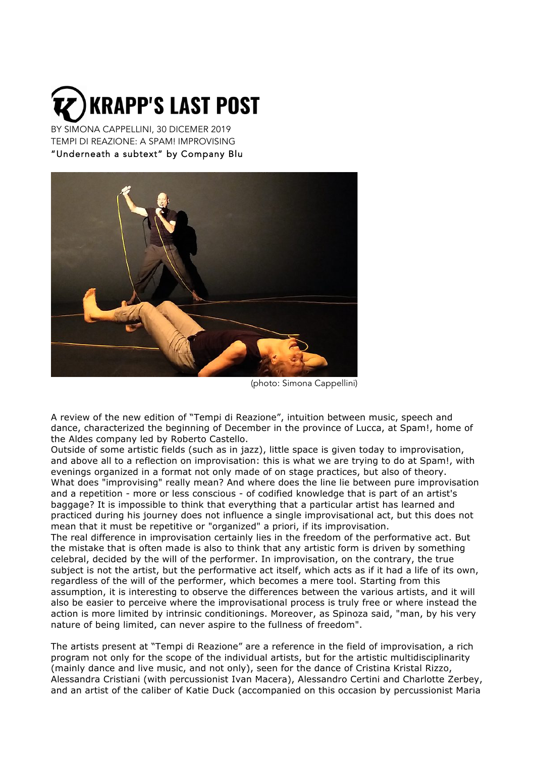

BY SIMONA CAPPELLINI, 30 DICEMER 2019 TEMPI DI REAZIONE: A SPAM! IMPROVISING "Underneath a subtext" by Company Blu



(photo: Simona Cappellini)

A review of the new edition of "Tempi di Reazione", intuition between music, speech and dance, characterized the beginning of December in the province of Lucca, at Spam!, home of the Aldes company led by Roberto Castello.

Outside of some artistic fields (such as in jazz), little space is given today to improvisation, and above all to a reflection on improvisation: this is what we are trying to do at Spam!, with evenings organized in a format not only made of on stage practices, but also of theory. What does "improvising" really mean? And where does the line lie between pure improvisation and a repetition - more or less conscious - of codified knowledge that is part of an artist's baggage? It is impossible to think that everything that a particular artist has learned and practiced during his journey does not influence a single improvisational act, but this does not mean that it must be repetitive or "organized" a priori, if its improvisation.

The real difference in improvisation certainly lies in the freedom of the performative act. But the mistake that is often made is also to think that any artistic form is driven by something celebral, decided by the will of the performer. In improvisation, on the contrary, the true subject is not the artist, but the performative act itself, which acts as if it had a life of its own, regardless of the will of the performer, which becomes a mere tool. Starting from this assumption, it is interesting to observe the differences between the various artists, and it will also be easier to perceive where the improvisational process is truly free or where instead the action is more limited by intrinsic conditionings. Moreover, as Spinoza said, "man, by his very nature of being limited, can never aspire to the fullness of freedom".

The artists present at "Tempi di Reazione" are a reference in the field of improvisation, a rich program not only for the scope of the individual artists, but for the artistic multidisciplinarity (mainly dance and live music, and not only), seen for the dance of Cristina Kristal Rizzo, Alessandra Cristiani (with percussionist Ivan Macera), Alessandro Certini and Charlotte Zerbey, and an artist of the caliber of Katie Duck (accompanied on this occasion by percussionist Maria